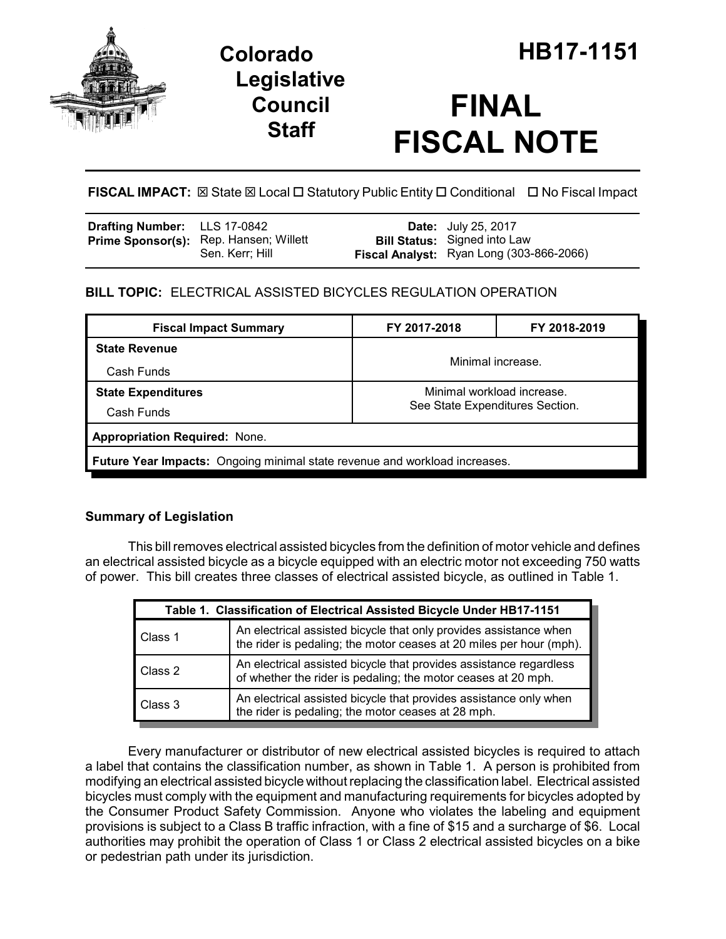

## **Legislative Council Staff**

# **FINAL FISCAL NOTE**

**FISCAL IMPACT:** ⊠ State ⊠ Local □ Statutory Public Entity □ Conditional □ No Fiscal Impact

| <b>Drafting Number:</b> LLS 17-0842 |                                                           | <b>Date:</b> July 25, 2017                                                      |
|-------------------------------------|-----------------------------------------------------------|---------------------------------------------------------------------------------|
|                                     | Prime Sponsor(s): Rep. Hansen; Willett<br>Sen. Kerr: Hill | <b>Bill Status:</b> Signed into Law<br>Fiscal Analyst: Ryan Long (303-866-2066) |

## **BILL TOPIC:** ELECTRICAL ASSISTED BICYCLES REGULATION OPERATION

| <b>Fiscal Impact Summary</b>                                               | FY 2017-2018                                                  | FY 2018-2019 |  |  |  |  |
|----------------------------------------------------------------------------|---------------------------------------------------------------|--------------|--|--|--|--|
| <b>State Revenue</b>                                                       | Minimal increase.                                             |              |  |  |  |  |
| Cash Funds                                                                 |                                                               |              |  |  |  |  |
| <b>State Expenditures</b>                                                  | Minimal workload increase.<br>See State Expenditures Section. |              |  |  |  |  |
| Cash Funds                                                                 |                                                               |              |  |  |  |  |
| <b>Appropriation Required: None.</b>                                       |                                                               |              |  |  |  |  |
| Future Year Impacts: Ongoing minimal state revenue and workload increases. |                                                               |              |  |  |  |  |

### **Summary of Legislation**

This bill removes electrical assisted bicycles from the definition of motor vehicle and defines an electrical assisted bicycle as a bicycle equipped with an electric motor not exceeding 750 watts of power. This bill creates three classes of electrical assisted bicycle, as outlined in Table 1.

| Table 1. Classification of Electrical Assisted Bicycle Under HB17-1151 |                                                                                                                                          |  |  |  |
|------------------------------------------------------------------------|------------------------------------------------------------------------------------------------------------------------------------------|--|--|--|
| Class 1                                                                | An electrical assisted bicycle that only provides assistance when<br>the rider is pedaling; the motor ceases at 20 miles per hour (mph). |  |  |  |
| Class 2                                                                | An electrical assisted bicycle that provides assistance regardless<br>of whether the rider is pedaling; the motor ceases at 20 mph.      |  |  |  |
| Class 3                                                                | An electrical assisted bicycle that provides assistance only when<br>the rider is pedaling; the motor ceases at 28 mph.                  |  |  |  |

Every manufacturer or distributor of new electrical assisted bicycles is required to attach a label that contains the classification number, as shown in Table 1. A person is prohibited from modifying an electrical assisted bicycle without replacing the classification label. Electrical assisted bicycles must comply with the equipment and manufacturing requirements for bicycles adopted by the Consumer Product Safety Commission. Anyone who violates the labeling and equipment provisions is subject to a Class B traffic infraction, with a fine of \$15 and a surcharge of \$6. Local authorities may prohibit the operation of Class 1 or Class 2 electrical assisted bicycles on a bike or pedestrian path under its jurisdiction.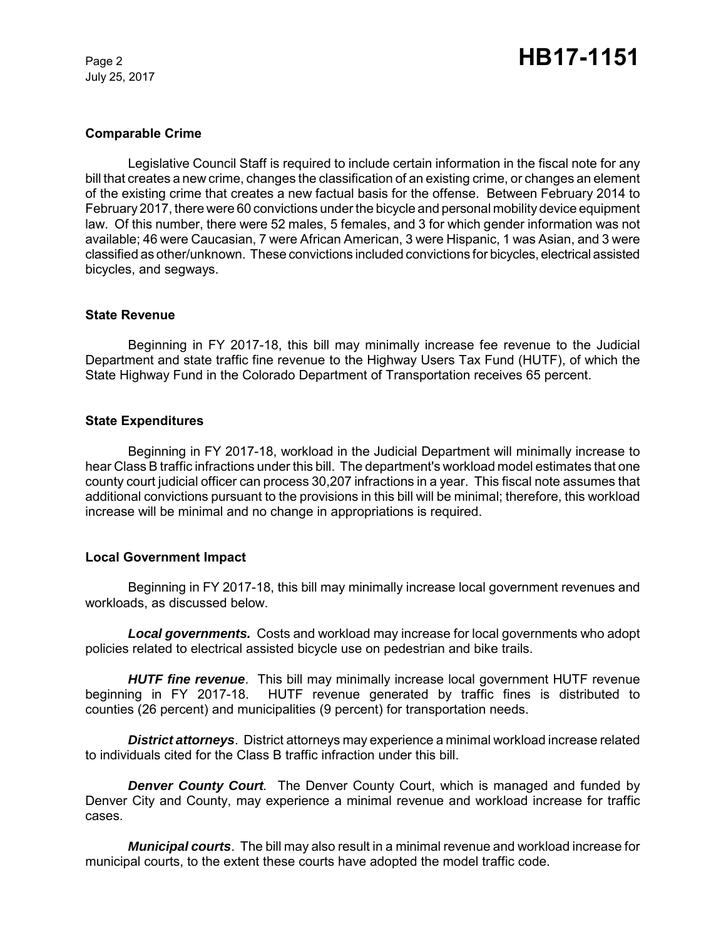July 25, 2017

#### **Comparable Crime**

Legislative Council Staff is required to include certain information in the fiscal note for any bill that creates a new crime, changes the classification of an existing crime, or changes an element of the existing crime that creates a new factual basis for the offense. Between February 2014 to February 2017, there were 60 convictions under the bicycle and personal mobility device equipment law. Of this number, there were 52 males, 5 females, and 3 for which gender information was not available; 46 were Caucasian, 7 were African American, 3 were Hispanic, 1 was Asian, and 3 were classified as other/unknown. These convictions included convictions for bicycles, electrical assisted bicycles, and segways.

#### **State Revenue**

Beginning in FY 2017-18, this bill may minimally increase fee revenue to the Judicial Department and state traffic fine revenue to the Highway Users Tax Fund (HUTF), of which the State Highway Fund in the Colorado Department of Transportation receives 65 percent.

#### **State Expenditures**

Beginning in FY 2017-18, workload in the Judicial Department will minimally increase to hear Class B traffic infractions under this bill. The department's workload model estimates that one county court judicial officer can process 30,207 infractions in a year. This fiscal note assumes that additional convictions pursuant to the provisions in this bill will be minimal; therefore, this workload increase will be minimal and no change in appropriations is required.

#### **Local Government Impact**

Beginning in FY 2017-18, this bill may minimally increase local government revenues and workloads, as discussed below.

*Local governments.* Costs and workload may increase for local governments who adopt policies related to electrical assisted bicycle use on pedestrian and bike trails.

*HUTF fine revenue*. This bill may minimally increase local government HUTF revenue beginning in FY 2017-18. HUTF revenue generated by traffic fines is distributed to counties (26 percent) and municipalities (9 percent) for transportation needs.

*District attorneys*. District attorneys may experience a minimal workload increase related to individuals cited for the Class B traffic infraction under this bill.

*Denver County Court.* The Denver County Court, which is managed and funded by Denver City and County, may experience a minimal revenue and workload increase for traffic cases.

*Municipal courts*. The bill may also result in a minimal revenue and workload increase for municipal courts, to the extent these courts have adopted the model traffic code.